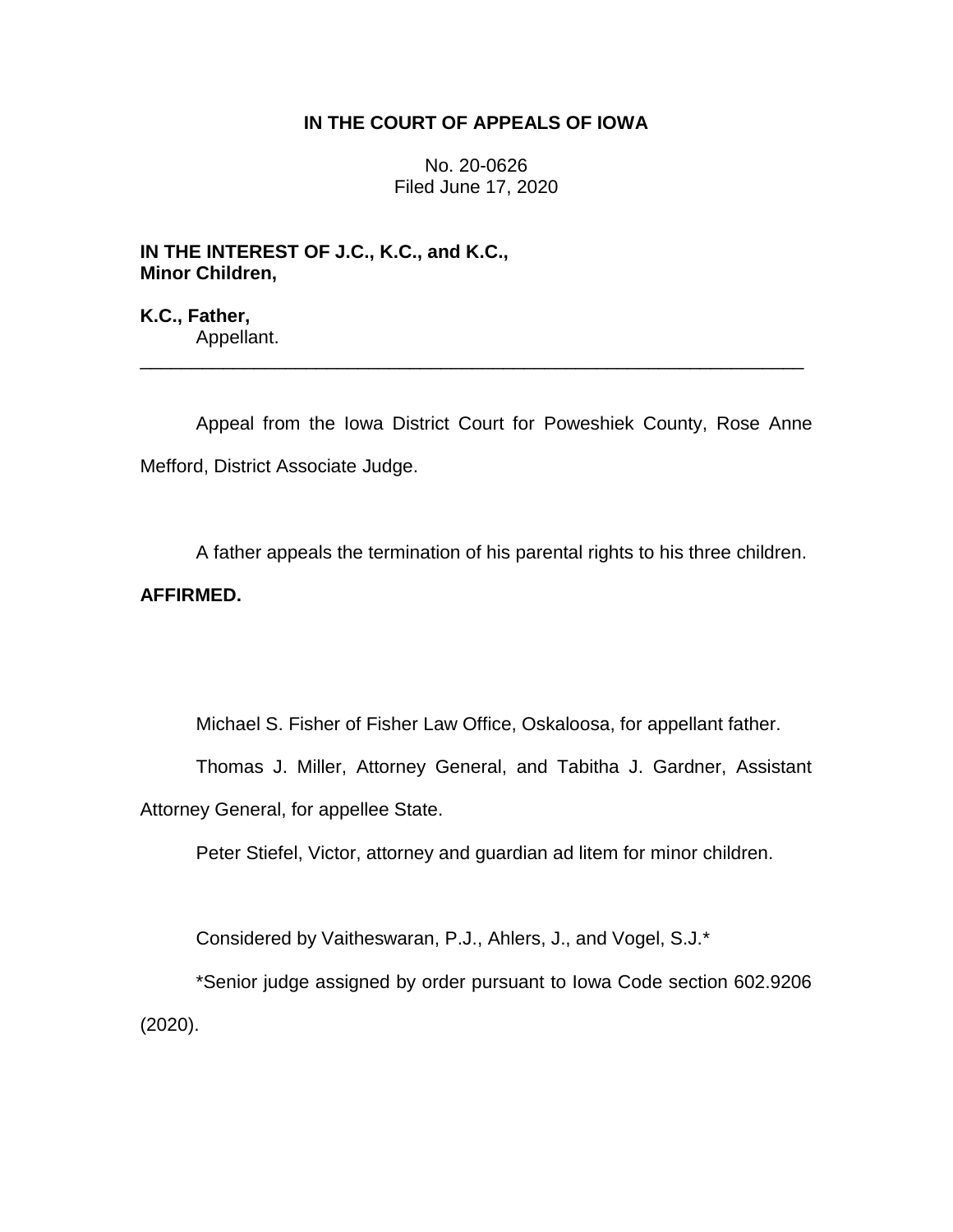## **IN THE COURT OF APPEALS OF IOWA**

No. 20-0626 Filed June 17, 2020

**IN THE INTEREST OF J.C., K.C., and K.C., Minor Children,**

**K.C., Father,** Appellant.

Appeal from the Iowa District Court for Poweshiek County, Rose Anne Mefford, District Associate Judge.

\_\_\_\_\_\_\_\_\_\_\_\_\_\_\_\_\_\_\_\_\_\_\_\_\_\_\_\_\_\_\_\_\_\_\_\_\_\_\_\_\_\_\_\_\_\_\_\_\_\_\_\_\_\_\_\_\_\_\_\_\_\_\_\_

A father appeals the termination of his parental rights to his three children.

## **AFFIRMED.**

Michael S. Fisher of Fisher Law Office, Oskaloosa, for appellant father.

Thomas J. Miller, Attorney General, and Tabitha J. Gardner, Assistant Attorney General, for appellee State.

Peter Stiefel, Victor, attorney and guardian ad litem for minor children.

Considered by Vaitheswaran, P.J., Ahlers, J., and Vogel, S.J.\*

\*Senior judge assigned by order pursuant to Iowa Code section 602.9206 (2020).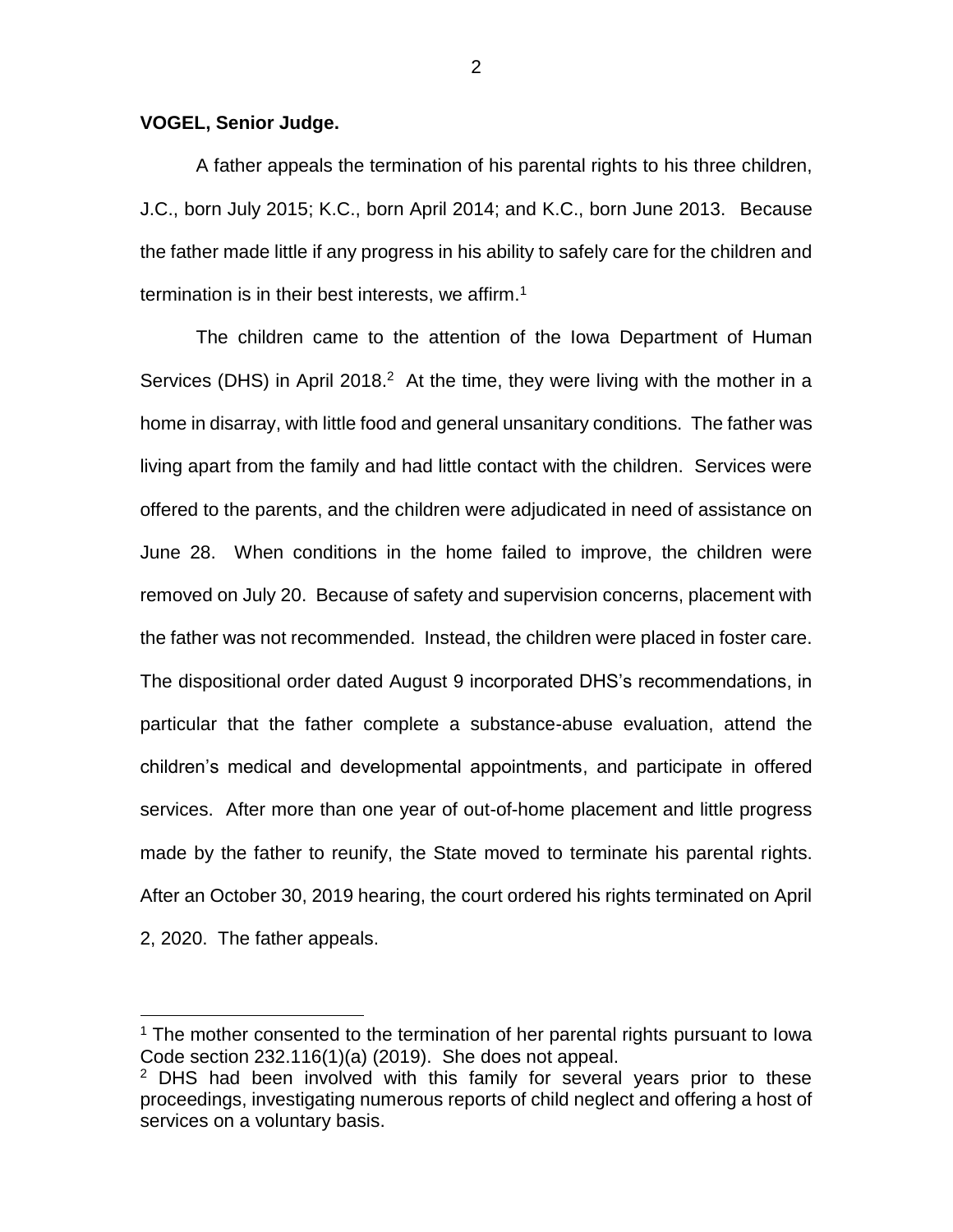**VOGEL, Senior Judge.**

 $\overline{a}$ 

A father appeals the termination of his parental rights to his three children, J.C., born July 2015; K.C., born April 2014; and K.C., born June 2013. Because the father made little if any progress in his ability to safely care for the children and termination is in their best interests, we affirm. 1

The children came to the attention of the Iowa Department of Human Services (DHS) in April 2018.<sup>2</sup> At the time, they were living with the mother in a home in disarray, with little food and general unsanitary conditions. The father was living apart from the family and had little contact with the children. Services were offered to the parents, and the children were adjudicated in need of assistance on June 28. When conditions in the home failed to improve, the children were removed on July 20. Because of safety and supervision concerns, placement with the father was not recommended. Instead, the children were placed in foster care. The dispositional order dated August 9 incorporated DHS's recommendations, in particular that the father complete a substance-abuse evaluation, attend the children's medical and developmental appointments, and participate in offered services. After more than one year of out-of-home placement and little progress made by the father to reunify, the State moved to terminate his parental rights. After an October 30, 2019 hearing, the court ordered his rights terminated on April 2, 2020. The father appeals.

<sup>&</sup>lt;sup>1</sup> The mother consented to the termination of her parental rights pursuant to lowa Code section 232.116(1)(a) (2019). She does not appeal.

<sup>&</sup>lt;sup>2</sup> DHS had been involved with this family for several years prior to these proceedings, investigating numerous reports of child neglect and offering a host of services on a voluntary basis.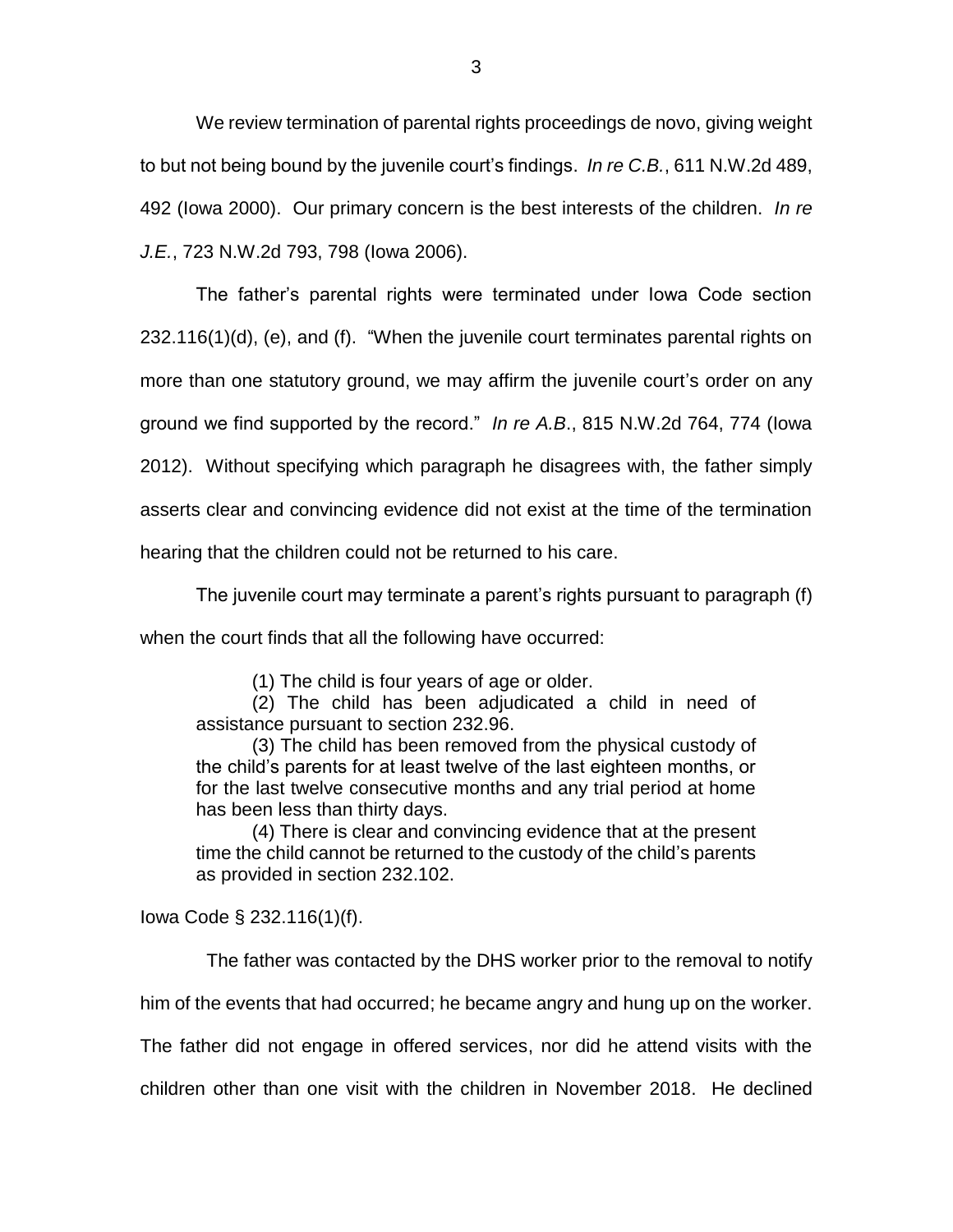We review termination of parental rights proceedings de novo, giving weight to but not being bound by the juvenile court's findings. *In re C.B.*, 611 N.W.2d 489, 492 (Iowa 2000). Our primary concern is the best interests of the children. *In re J.E.*, 723 N.W.2d 793, 798 (Iowa 2006).

The father's parental rights were terminated under Iowa Code section 232.116(1)(d), (e), and (f). "When the juvenile court terminates parental rights on more than one statutory ground, we may affirm the juvenile court's order on any ground we find supported by the record." *In re A.B*., 815 N.W.2d 764, 774 (Iowa 2012). Without specifying which paragraph he disagrees with, the father simply asserts clear and convincing evidence did not exist at the time of the termination hearing that the children could not be returned to his care.

The juvenile court may terminate a parent's rights pursuant to paragraph (f) when the court finds that all the following have occurred:

(1) The child is four years of age or older.

(2) The child has been adjudicated a child in need of assistance pursuant to section 232.96.

(3) The child has been removed from the physical custody of the child's parents for at least twelve of the last eighteen months, or for the last twelve consecutive months and any trial period at home has been less than thirty days.

(4) There is clear and convincing evidence that at the present time the child cannot be returned to the custody of the child's parents as provided in section 232.102.

Iowa Code § 232.116(1)(f).

The father was contacted by the DHS worker prior to the removal to notify

him of the events that had occurred; he became angry and hung up on the worker.

The father did not engage in offered services, nor did he attend visits with the

children other than one visit with the children in November 2018. He declined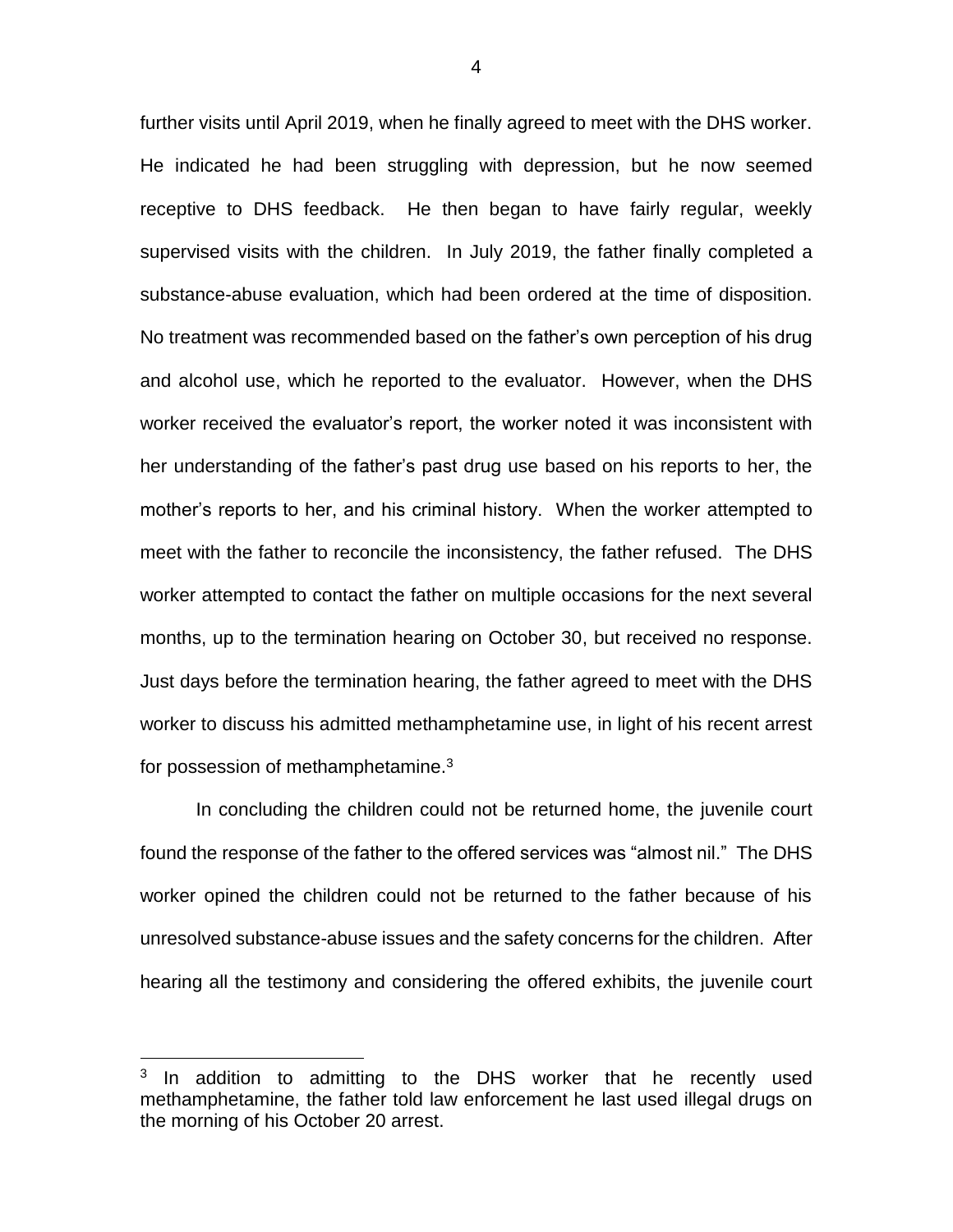further visits until April 2019, when he finally agreed to meet with the DHS worker. He indicated he had been struggling with depression, but he now seemed receptive to DHS feedback. He then began to have fairly regular, weekly supervised visits with the children. In July 2019, the father finally completed a substance-abuse evaluation, which had been ordered at the time of disposition. No treatment was recommended based on the father's own perception of his drug and alcohol use, which he reported to the evaluator. However, when the DHS worker received the evaluator's report, the worker noted it was inconsistent with her understanding of the father's past drug use based on his reports to her, the mother's reports to her, and his criminal history. When the worker attempted to meet with the father to reconcile the inconsistency, the father refused. The DHS worker attempted to contact the father on multiple occasions for the next several months, up to the termination hearing on October 30, but received no response. Just days before the termination hearing, the father agreed to meet with the DHS worker to discuss his admitted methamphetamine use, in light of his recent arrest for possession of methamphetamine.<sup>3</sup>

In concluding the children could not be returned home, the juvenile court found the response of the father to the offered services was "almost nil." The DHS worker opined the children could not be returned to the father because of his unresolved substance-abuse issues and the safety concerns for the children. After hearing all the testimony and considering the offered exhibits, the juvenile court

 $\overline{a}$ 

<sup>3</sup> In addition to admitting to the DHS worker that he recently used methamphetamine, the father told law enforcement he last used illegal drugs on the morning of his October 20 arrest.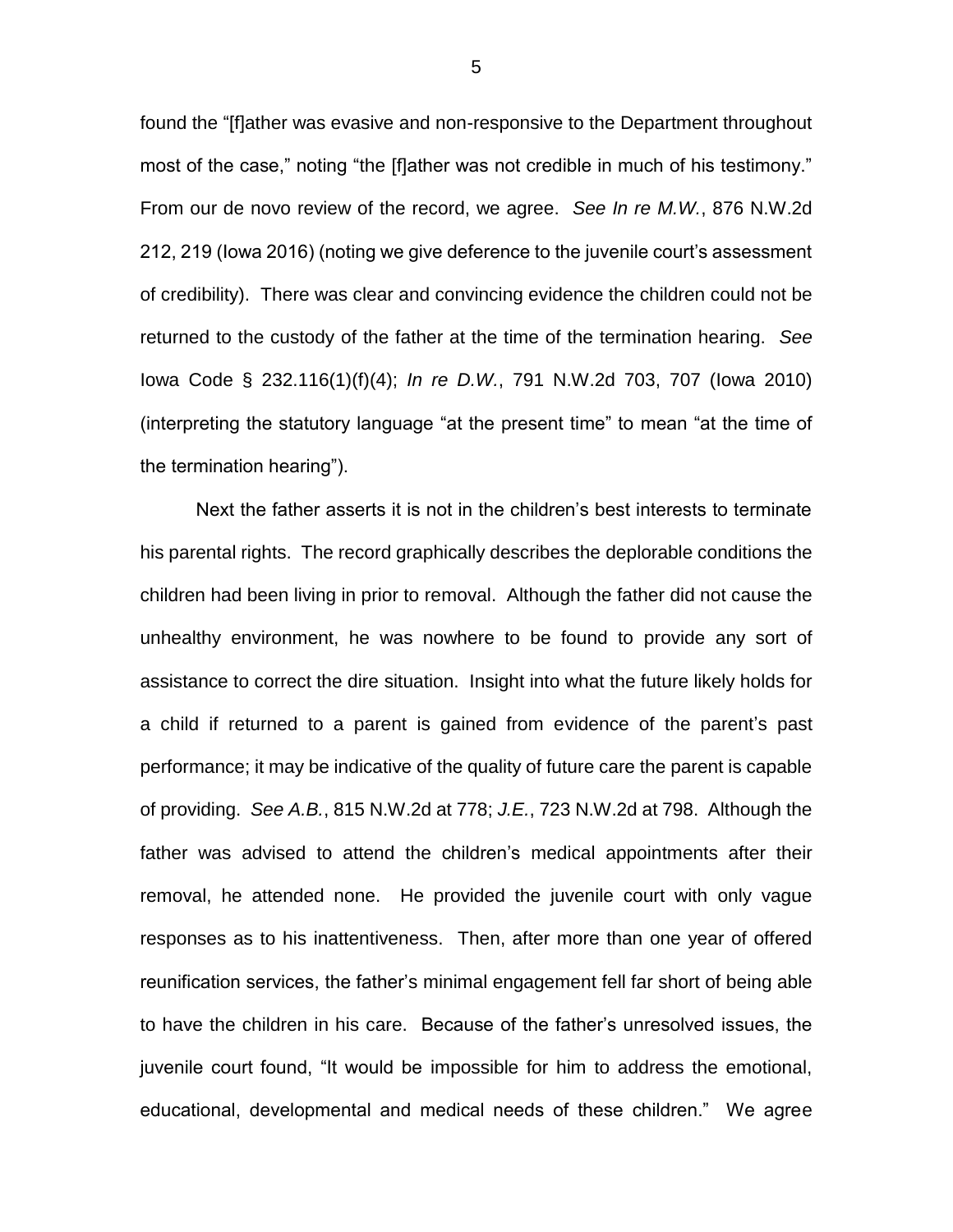found the "[f]ather was evasive and non-responsive to the Department throughout most of the case," noting "the [f]ather was not credible in much of his testimony." From our de novo review of the record, we agree. *See In re M.W.*, 876 N.W.2d 212, 219 (Iowa 2016) (noting we give deference to the juvenile court's assessment of credibility). There was clear and convincing evidence the children could not be returned to the custody of the father at the time of the termination hearing. *See*  Iowa Code § 232.116(1)(f)(4); *In re D.W.*, 791 N.W.2d 703, 707 (Iowa 2010) (interpreting the statutory language "at the present time" to mean "at the time of the termination hearing").

Next the father asserts it is not in the children's best interests to terminate his parental rights. The record graphically describes the deplorable conditions the children had been living in prior to removal. Although the father did not cause the unhealthy environment, he was nowhere to be found to provide any sort of assistance to correct the dire situation. Insight into what the future likely holds for a child if returned to a parent is gained from evidence of the parent's past performance; it may be indicative of the quality of future care the parent is capable of providing. *See A.B.*, 815 N.W.2d at 778; *J.E.*, 723 N.W.2d at 798. Although the father was advised to attend the children's medical appointments after their removal, he attended none. He provided the juvenile court with only vague responses as to his inattentiveness. Then, after more than one year of offered reunification services, the father's minimal engagement fell far short of being able to have the children in his care. Because of the father's unresolved issues, the juvenile court found, "It would be impossible for him to address the emotional, educational, developmental and medical needs of these children." We agree